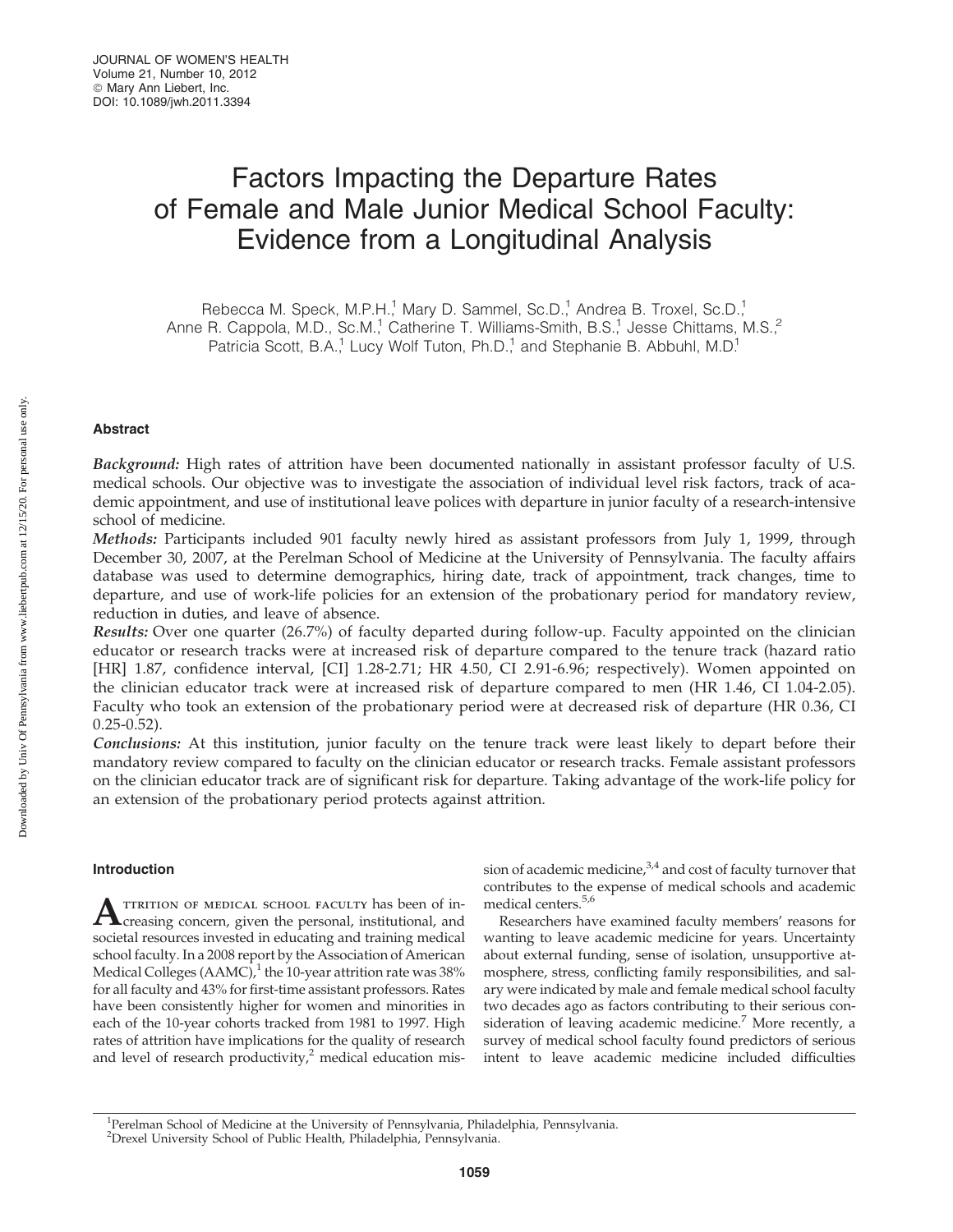# Factors Impacting the Departure Rates of Female and Male Junior Medical School Faculty: Evidence from a Longitudinal Analysis

Rebecca M. Speck, M.P.H.,<sup>1</sup> Mary D. Sammel, Sc.D.,<sup>1</sup> Andrea B. Troxel, Sc.D.,<sup>1</sup> Anne R. Cappola, M.D., Sc.M.<sup>1</sup> Catherine T. Williams-Smith, B.S.<sup>1</sup> Jesse Chittams, M.S.<sup>2</sup> Patricia Scott, B.A.,<sup>1</sup> Lucy Wolf Tuton, Ph.D.,<sup>1</sup> and Stephanie B. Abbuhl, M.D.<sup>1</sup>

# Abstract

Background: High rates of attrition have been documented nationally in assistant professor faculty of U.S. medical schools. Our objective was to investigate the association of individual level risk factors, track of academic appointment, and use of institutional leave polices with departure in junior faculty of a research-intensive school of medicine.

Methods: Participants included 901 faculty newly hired as assistant professors from July 1, 1999, through December 30, 2007, at the Perelman School of Medicine at the University of Pennsylvania. The faculty affairs database was used to determine demographics, hiring date, track of appointment, track changes, time to departure, and use of work-life policies for an extension of the probationary period for mandatory review, reduction in duties, and leave of absence.

Results: Over one quarter (26.7%) of faculty departed during follow-up. Faculty appointed on the clinician educator or research tracks were at increased risk of departure compared to the tenure track (hazard ratio [HR] 1.87, confidence interval, [CI] 1.28-2.71; HR 4.50, CI 2.91-6.96; respectively). Women appointed on the clinician educator track were at increased risk of departure compared to men (HR 1.46, CI 1.04-2.05). Faculty who took an extension of the probationary period were at decreased risk of departure (HR 0.36, CI 0.25-0.52).

Conclusions: At this institution, junior faculty on the tenure track were least likely to depart before their mandatory review compared to faculty on the clinician educator or research tracks. Female assistant professors on the clinician educator track are of significant risk for departure. Taking advantage of the work-life policy for an extension of the probationary period protects against attrition.

# Introduction

**ATTRITION OF MEDICAL SCHOOL FACULTY has been of in-**<br>creasing concern, given the personal, institutional, and societal resources invested in educating and training medical school faculty. In a 2008 report by the Association of American Medical Colleges (AAMC), $<sup>1</sup>$  the 10-year attrition rate was 38%</sup> for all faculty and 43% for first-time assistant professors. Rates have been consistently higher for women and minorities in each of the 10-year cohorts tracked from 1981 to 1997. High rates of attrition have implications for the quality of research and level of research productivity, $2$  medical education mission of academic medicine, $3,4$  and cost of faculty turnover that contributes to the expense of medical schools and academic medical centers.5,6

Researchers have examined faculty members' reasons for wanting to leave academic medicine for years. Uncertainty about external funding, sense of isolation, unsupportive atmosphere, stress, conflicting family responsibilities, and salary were indicated by male and female medical school faculty two decades ago as factors contributing to their serious consideration of leaving academic medicine.<sup>7</sup> More recently, a survey of medical school faculty found predictors of serious intent to leave academic medicine included difficulties

<sup>&</sup>lt;sup>1</sup>Perelman School of Medicine at the University of Pennsylvania, Philadelphia, Pennsylvania.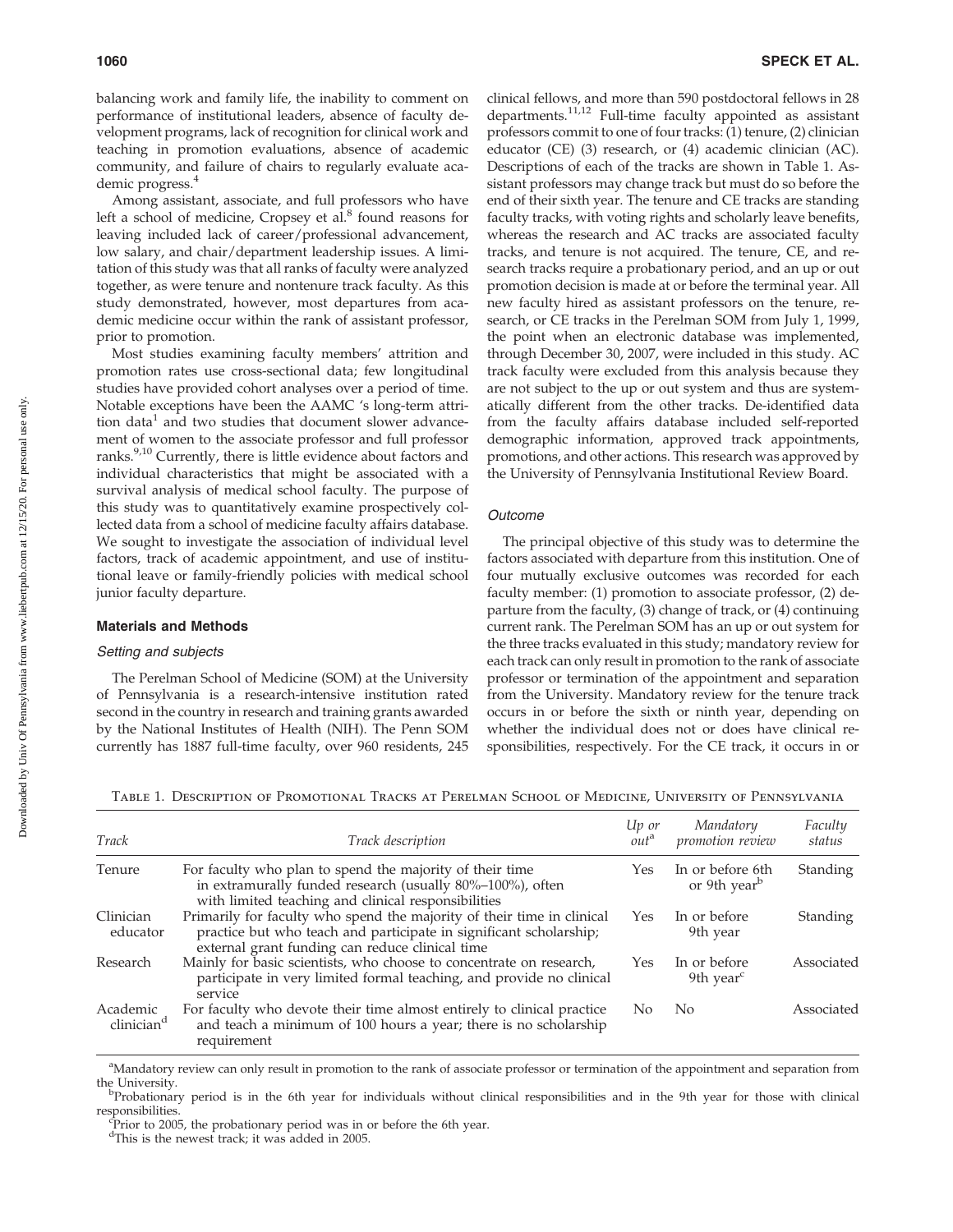balancing work and family life, the inability to comment on performance of institutional leaders, absence of faculty development programs, lack of recognition for clinical work and teaching in promotion evaluations, absence of academic community, and failure of chairs to regularly evaluate academic progress.<sup>4</sup>

Among assistant, associate, and full professors who have left a school of medicine, Cropsey et al. $8$  found reasons for leaving included lack of career/professional advancement, low salary, and chair/department leadership issues. A limitation of this study was that all ranks of faculty were analyzed together, as were tenure and nontenure track faculty. As this study demonstrated, however, most departures from academic medicine occur within the rank of assistant professor, prior to promotion.

Most studies examining faculty members' attrition and promotion rates use cross-sectional data; few longitudinal studies have provided cohort analyses over a period of time. Notable exceptions have been the AAMC 's long-term attrition data<sup>1</sup> and two studies that document slower advancement of women to the associate professor and full professor ranks.<sup>9,10</sup> Currently, there is little evidence about factors and individual characteristics that might be associated with a survival analysis of medical school faculty. The purpose of this study was to quantitatively examine prospectively collected data from a school of medicine faculty affairs database. We sought to investigate the association of individual level factors, track of academic appointment, and use of institutional leave or family-friendly policies with medical school junior faculty departure.

### Materials and Methods

### Setting and subjects

The Perelman School of Medicine (SOM) at the University of Pennsylvania is a research-intensive institution rated second in the country in research and training grants awarded by the National Institutes of Health (NIH). The Penn SOM currently has 1887 full-time faculty, over 960 residents, 245 clinical fellows, and more than 590 postdoctoral fellows in 28 departments.<sup>11,12</sup> Full-time faculty appointed as assistant professors commit to one of four tracks: (1) tenure, (2) clinician educator (CE) (3) research, or (4) academic clinician (AC). Descriptions of each of the tracks are shown in Table 1. Assistant professors may change track but must do so before the end of their sixth year. The tenure and CE tracks are standing faculty tracks, with voting rights and scholarly leave benefits, whereas the research and AC tracks are associated faculty tracks, and tenure is not acquired. The tenure, CE, and research tracks require a probationary period, and an up or out promotion decision is made at or before the terminal year. All new faculty hired as assistant professors on the tenure, research, or CE tracks in the Perelman SOM from July 1, 1999, the point when an electronic database was implemented, through December 30, 2007, were included in this study. AC track faculty were excluded from this analysis because they are not subject to the up or out system and thus are systematically different from the other tracks. De-identified data from the faculty affairs database included self-reported demographic information, approved track appointments, promotions, and other actions. This research was approved by the University of Pennsylvania Institutional Review Board.

# **Outcome**

The principal objective of this study was to determine the factors associated with departure from this institution. One of four mutually exclusive outcomes was recorded for each faculty member: (1) promotion to associate professor, (2) departure from the faculty, (3) change of track, or (4) continuing current rank. The Perelman SOM has an up or out system for the three tracks evaluated in this study; mandatory review for each track can only result in promotion to the rank of associate professor or termination of the appointment and separation from the University. Mandatory review for the tenure track occurs in or before the sixth or ninth year, depending on whether the individual does not or does have clinical responsibilities, respectively. For the CE track, it occurs in or

Table 1. Description of Promotional Tracks at Perelman School of Medicine, University of Pennsylvania

| Track                              | Track description                                                                                                                                                                               | Up or<br>$out^a$ | Mandatory<br>promotion review                | Faculty<br>status |
|------------------------------------|-------------------------------------------------------------------------------------------------------------------------------------------------------------------------------------------------|------------------|----------------------------------------------|-------------------|
| Tenure                             | For faculty who plan to spend the majority of their time<br>in extramurally funded research (usually 80%-100%), often<br>with limited teaching and clinical responsibilities                    | Yes              | In or before 6th<br>or 9th year <sup>b</sup> | <b>Standing</b>   |
| Clinician<br>educator              | Primarily for faculty who spend the majority of their time in clinical<br>practice but who teach and participate in significant scholarship;<br>external grant funding can reduce clinical time | <b>Yes</b>       | In or before<br>9th year                     | <b>Standing</b>   |
| Research                           | Mainly for basic scientists, who choose to concentrate on research,<br>participate in very limited formal teaching, and provide no clinical<br>service                                          | Yes              | In or before<br>9th year <sup>c</sup>        | Associated        |
| Academic<br>clinician <sup>d</sup> | For faculty who devote their time almost entirely to clinical practice<br>and teach a minimum of 100 hours a year; there is no scholarship<br>requirement                                       | No.              | No                                           | Associated        |

<sup>a</sup>Mandatory review can only result in promotion to the rank of associate professor or termination of the appointment and separation from the University.

<sup>b</sup>Probationary period is in the 6th year for individuals without clinical responsibilities and in the 9th year for those with clinical responsibilities.

Prior to 2005, the probationary period was in or before the 6th year.

d This is the newest track; it was added in 2005.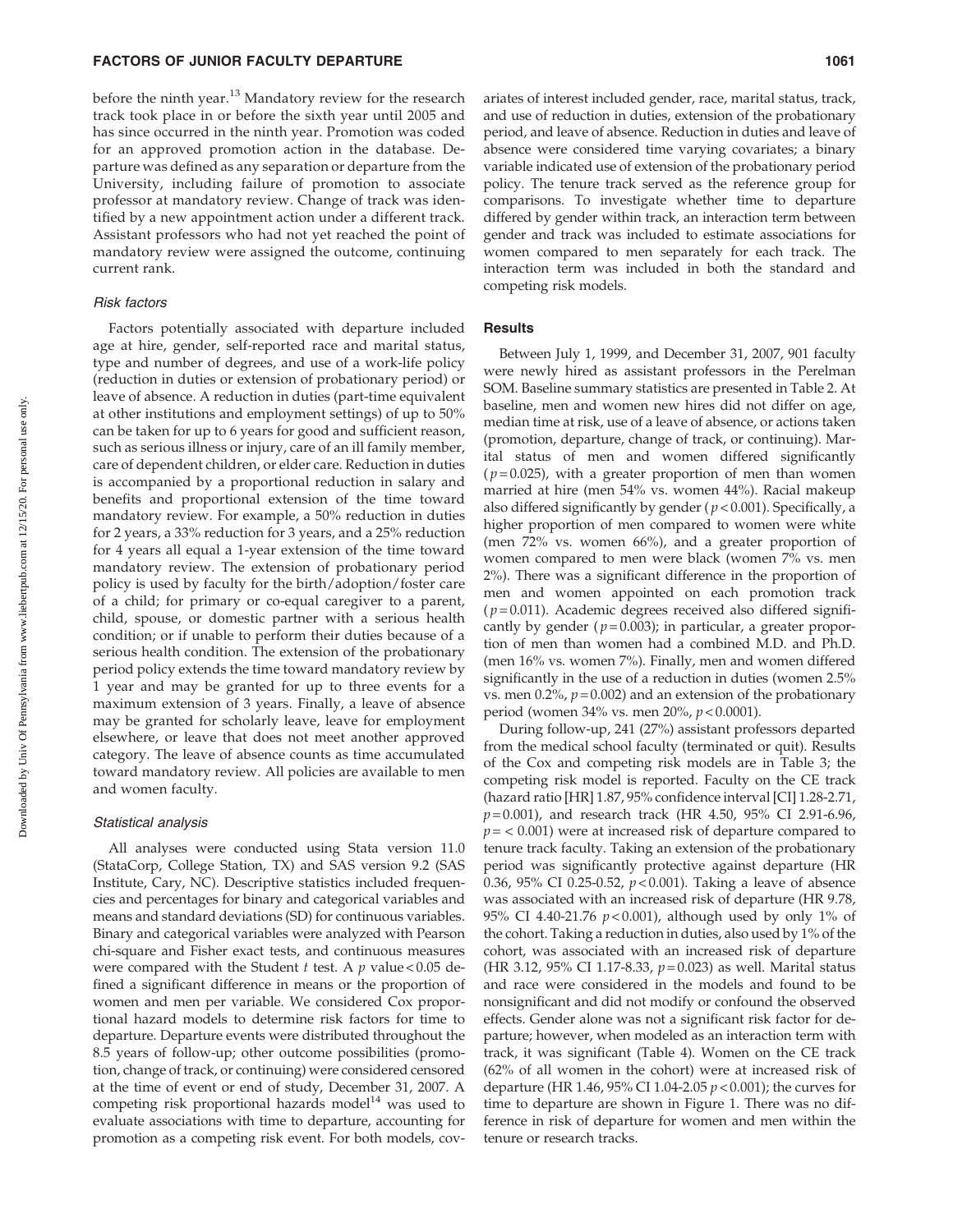# FACTORS OF JUNIOR FACULTY DEPARTURE 1061 1061

before the ninth year.<sup>13</sup> Mandatory review for the research track took place in or before the sixth year until 2005 and has since occurred in the ninth year. Promotion was coded for an approved promotion action in the database. Departure was defined as any separation or departure from the University, including failure of promotion to associate professor at mandatory review. Change of track was identified by a new appointment action under a different track. Assistant professors who had not yet reached the point of mandatory review were assigned the outcome, continuing current rank.

### Risk factors

Factors potentially associated with departure included age at hire, gender, self-reported race and marital status, type and number of degrees, and use of a work-life policy (reduction in duties or extension of probationary period) or leave of absence. A reduction in duties (part-time equivalent at other institutions and employment settings) of up to 50% can be taken for up to 6 years for good and sufficient reason, such as serious illness or injury, care of an ill family member, care of dependent children, or elder care. Reduction in duties is accompanied by a proportional reduction in salary and benefits and proportional extension of the time toward mandatory review. For example, a 50% reduction in duties for 2 years, a 33% reduction for 3 years, and a 25% reduction for 4 years all equal a 1-year extension of the time toward mandatory review. The extension of probationary period policy is used by faculty for the birth/adoption/foster care of a child; for primary or co-equal caregiver to a parent, child, spouse, or domestic partner with a serious health condition; or if unable to perform their duties because of a serious health condition. The extension of the probationary period policy extends the time toward mandatory review by 1 year and may be granted for up to three events for a maximum extension of 3 years. Finally, a leave of absence may be granted for scholarly leave, leave for employment elsewhere, or leave that does not meet another approved category. The leave of absence counts as time accumulated toward mandatory review. All policies are available to men and women faculty.

# Statistical analysis

All analyses were conducted using Stata version 11.0 (StataCorp, College Station, TX) and SAS version 9.2 (SAS Institute, Cary, NC). Descriptive statistics included frequencies and percentages for binary and categorical variables and means and standard deviations (SD) for continuous variables. Binary and categorical variables were analyzed with Pearson chi-square and Fisher exact tests, and continuous measures were compared with the Student  $t$  test. A  $p$  value < 0.05 defined a significant difference in means or the proportion of women and men per variable. We considered Cox proportional hazard models to determine risk factors for time to departure. Departure events were distributed throughout the 8.5 years of follow-up; other outcome possibilities (promotion, change of track, or continuing) were considered censored at the time of event or end of study, December 31, 2007. A competing risk proportional hazards model<sup>14</sup> was used to evaluate associations with time to departure, accounting for promotion as a competing risk event. For both models, covariates of interest included gender, race, marital status, track, and use of reduction in duties, extension of the probationary period, and leave of absence. Reduction in duties and leave of absence were considered time varying covariates; a binary variable indicated use of extension of the probationary period policy. The tenure track served as the reference group for comparisons. To investigate whether time to departure differed by gender within track, an interaction term between gender and track was included to estimate associations for women compared to men separately for each track. The interaction term was included in both the standard and competing risk models.

### **Results**

Between July 1, 1999, and December 31, 2007, 901 faculty were newly hired as assistant professors in the Perelman SOM. Baseline summary statistics are presented in Table 2. At baseline, men and women new hires did not differ on age, median time at risk, use of a leave of absence, or actions taken (promotion, departure, change of track, or continuing). Marital status of men and women differed significantly  $(p=0.025)$ , with a greater proportion of men than women married at hire (men 54% vs. women 44%). Racial makeup also differed significantly by gender ( $p < 0.001$ ). Specifically, a higher proportion of men compared to women were white (men 72% vs. women 66%), and a greater proportion of women compared to men were black (women 7% vs. men 2%). There was a significant difference in the proportion of men and women appointed on each promotion track  $(p=0.011)$ . Academic degrees received also differed significantly by gender ( $p = 0.003$ ); in particular, a greater proportion of men than women had a combined M.D. and Ph.D. (men 16% vs. women 7%). Finally, men and women differed significantly in the use of a reduction in duties (women 2.5% vs. men  $0.2\%$ ,  $p = 0.002$ ) and an extension of the probationary period (women 34% vs. men 20%, p < 0.0001).

During follow-up, 241 (27%) assistant professors departed from the medical school faculty (terminated or quit). Results of the Cox and competing risk models are in Table 3; the competing risk model is reported. Faculty on the CE track (hazard ratio [HR] 1.87, 95% confidence interval [CI] 1.28-2.71,  $p = 0.001$ ), and research track (HR 4.50, 95% CI 2.91-6.96,  $p = 0.001$ ) were at increased risk of departure compared to tenure track faculty. Taking an extension of the probationary period was significantly protective against departure (HR 0.36, 95% CI 0.25-0.52,  $p < 0.001$ ). Taking a leave of absence was associated with an increased risk of departure (HR 9.78, 95% CI 4.40-21.76  $p < 0.001$ ), although used by only 1% of the cohort. Taking a reduction in duties, also used by 1% of the cohort, was associated with an increased risk of departure (HR 3.12, 95% CI 1.17-8.33,  $p=0.023$ ) as well. Marital status and race were considered in the models and found to be nonsignificant and did not modify or confound the observed effects. Gender alone was not a significant risk factor for departure; however, when modeled as an interaction term with track, it was significant (Table 4). Women on the CE track (62% of all women in the cohort) were at increased risk of departure (HR 1.46, 95% CI 1.04-2.05  $p < 0.001$ ); the curves for time to departure are shown in Figure 1. There was no difference in risk of departure for women and men within the tenure or research tracks.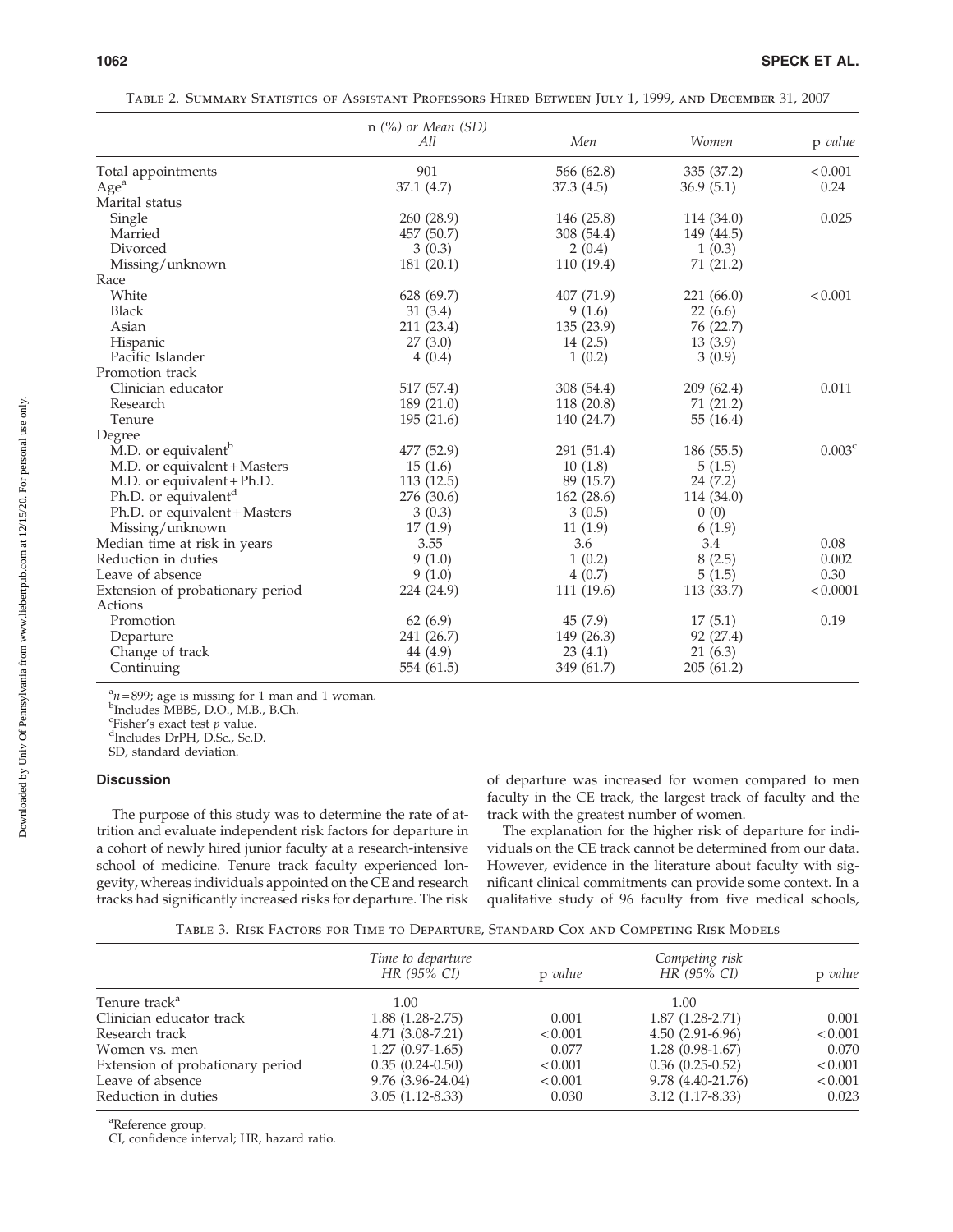|  | TABLE 2. SUMMARY STATISTICS OF ASSISTANT PROFESSORS HIRED BETWEEN JULY 1, 1999, AND DECEMBER 31, 2007 |  |  |  |  |
|--|-------------------------------------------------------------------------------------------------------|--|--|--|--|
|--|-------------------------------------------------------------------------------------------------------|--|--|--|--|

|                                  | $n$ (%) or Mean (SD) |            |            |                    |
|----------------------------------|----------------------|------------|------------|--------------------|
|                                  | All                  | Men        | Women      | p value            |
| Total appointments               | 901                  | 566 (62.8) | 335 (37.2) | < 0.001            |
| Age <sup>a</sup>                 | 37.1 (4.7)           | 37.3 (4.5) | 36.9(5.1)  | 0.24               |
| Marital status                   |                      |            |            |                    |
| Single                           | 260 (28.9)           | 146 (25.8) | 114 (34.0) | 0.025              |
| Married                          | 457 (50.7)           | 308 (54.4) | 149 (44.5) |                    |
| Divorced                         | 3(0.3)               | 2(0.4)     | 1(0.3)     |                    |
| Missing/unknown                  | 181(20.1)            | 110 (19.4) | 71 (21.2)  |                    |
| Race                             |                      |            |            |                    |
| White                            | 628 (69.7)           | 407 (71.9) | 221 (66.0) | < 0.001            |
| <b>Black</b>                     | 31(3.4)              | 9(1.6)     | 22(6.6)    |                    |
| Asian                            | 211 (23.4)           | 135(23.9)  | 76 (22.7)  |                    |
| Hispanic                         | 27(3.0)              | 14 (2.5)   | 13(3.9)    |                    |
| Pacific Islander                 | 4(0.4)               | 1(0.2)     | 3(0.9)     |                    |
| Promotion track                  |                      |            |            |                    |
| Clinician educator               | 517 (57.4)           | 308 (54.4) | 209 (62.4) | 0.011              |
| Research                         | 189(21.0)            | 118 (20.8) | 71 (21.2)  |                    |
| Tenure                           | 195 (21.6)           | 140 (24.7) | 55 (16.4)  |                    |
| Degree                           |                      |            |            |                    |
| M.D. or equivalent <sup>b</sup>  | 477 (52.9)           | 291 (51.4) | 186 (55.5) | 0.003 <sup>c</sup> |
| M.D. or equivalent + Masters     | 15(1.6)              | 10(1.8)    | 5(1.5)     |                    |
| M.D. or equivalent + Ph.D.       | 113(12.5)            | 89 (15.7)  | 24 (7.2)   |                    |
| Ph.D. or equivalent <sup>d</sup> | 276 (30.6)           | 162 (28.6) | 114 (34.0) |                    |
| Ph.D. or equivalent + Masters    | 3(0.3)               | 3(0.5)     | 0(0)       |                    |
| Missing/unknown                  | 17(1.9)              | 11(1.9)    | 6(1.9)     |                    |
| Median time at risk in years     | 3.55                 | 3.6        | 3.4        | 0.08               |
| Reduction in duties              | 9(1.0)               | 1(0.2)     | 8(2.5)     | 0.002              |
| Leave of absence                 | 9(1.0)               | 4(0.7)     | 5(1.5)     | 0.30               |
| Extension of probationary period | 224 (24.9)           | 111 (19.6) | 113 (33.7) | < 0.0001           |
| Actions                          |                      |            |            |                    |
| Promotion                        | 62(6.9)              | 45 (7.9)   | 17(5.1)    | 0.19               |
| Departure                        | 241 (26.7)           | 149 (26.3) | 92 (27.4)  |                    |
| Change of track                  | 44 (4.9)             | 23(4.1)    | 21(6.3)    |                    |
| Continuing                       | 554 (61.5)           | 349 (61.7) | 205(61.2)  |                    |

 $a_n = 899$ ; age is missing for 1 man and 1 woman.

<sup>b</sup>Includes MBBS, D.O., M.B., B.Ch.

Fisher's exact test  $p$  value.<br> $\frac{d_{\text{Include}}}{d_{\text{Include}}}$  DFPH DSc, Sc I

<sup>d</sup>Includes DrPH, D.Sc., Sc.D.

SD, standard deviation.

# Discussion

The purpose of this study was to determine the rate of attrition and evaluate independent risk factors for departure in a cohort of newly hired junior faculty at a research-intensive school of medicine. Tenure track faculty experienced longevity, whereas individuals appointed on the CE and research tracks had significantly increased risks for departure. The risk of departure was increased for women compared to men faculty in the CE track, the largest track of faculty and the track with the greatest number of women.

The explanation for the higher risk of departure for individuals on the CE track cannot be determined from our data. However, evidence in the literature about faculty with significant clinical commitments can provide some context. In a qualitative study of 96 faculty from five medical schools,

|                                  | Time to departure<br>HR (95% CI) | p value | Competing risk<br>HR (95% CI) | p value |
|----------------------------------|----------------------------------|---------|-------------------------------|---------|
| Tenure track <sup>a</sup>        | 1.00                             |         | 1.00                          |         |
| Clinician educator track         | $1.88(1.28-2.75)$                | 0.001   | $1.87(1.28-2.71)$             | 0.001   |
| Research track                   | $4.71(3.08 - 7.21)$              | < 0.001 | $4.50(2.91-6.96)$             | < 0.001 |
| Women vs. men                    | $1.27(0.97-1.65)$                | 0.077   | $1.28(0.98-1.67)$             | 0.070   |
| Extension of probationary period | $0.35(0.24-0.50)$                | < 0.001 | $0.36(0.25-0.52)$             | < 0.001 |
| Leave of absence                 | 9.76 (3.96-24.04)                | < 0.001 | 9.78 (4.40-21.76)             | < 0.001 |
| Reduction in duties              | $3.05(1.12-8.33)$                | 0.030   | $3.12(1.17-8.33)$             | 0.023   |
|                                  |                                  |         |                               |         |

a Reference group.

CI, confidence interval; HR, hazard ratio.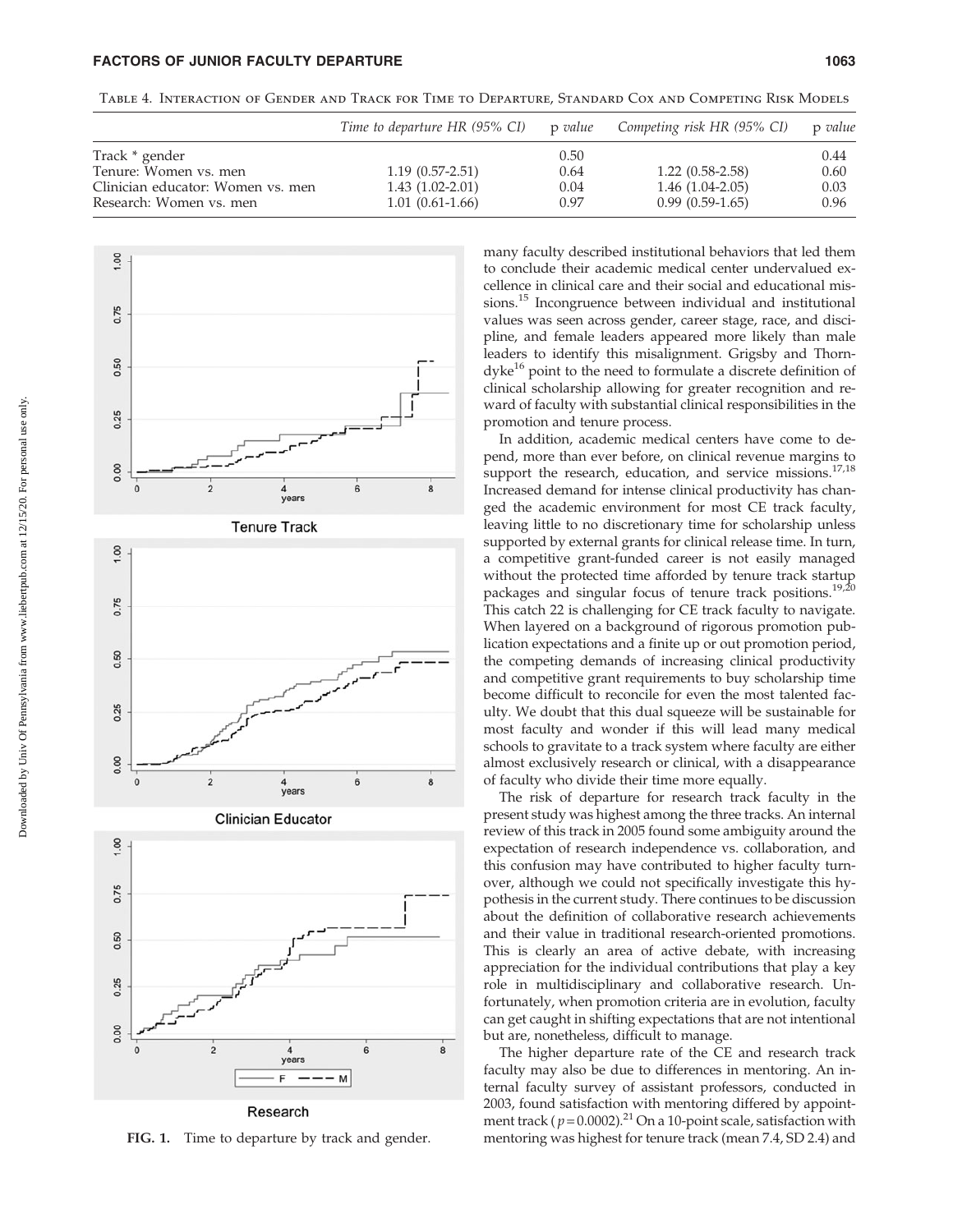### FACTORS OF JUNIOR FACULTY DEPARTURE 1063

Table 4. Interaction of Gender and Track for Time to Departure, Standard Cox and Competing Risk Models

|                                   | Time to departure HR (95% CI) |      | p value Competing risk HR (95% CI) | p value |
|-----------------------------------|-------------------------------|------|------------------------------------|---------|
| Track * gender                    |                               | 0.50 |                                    | 0.44    |
| Tenure: Women vs. men             | $1.19(0.57-2.51)$             | 0.64 | $1.22(0.58-2.58)$                  | 0.60    |
| Clinician educator: Women vs. men | $1.43(1.02 - 2.01)$           | 0.04 | $1.46(1.04-2.05)$                  | 0.03    |
| Research: Women vs. men           | $1.01(0.61-1.66)$             | 0.97 | $0.99(0.59-1.65)$                  | 0.96    |
|                                   |                               |      |                                    |         |



FIG. 1. Time to departure by track and gender.

many faculty described institutional behaviors that led them to conclude their academic medical center undervalued excellence in clinical care and their social and educational missions.<sup>15</sup> Incongruence between individual and institutional values was seen across gender, career stage, race, and discipline, and female leaders appeared more likely than male leaders to identify this misalignment. Grigsby and Thorn $dyke^{16}$  point to the need to formulate a discrete definition of clinical scholarship allowing for greater recognition and reward of faculty with substantial clinical responsibilities in the promotion and tenure process.

In addition, academic medical centers have come to depend, more than ever before, on clinical revenue margins to support the research, education, and service missions.<sup>17,18</sup> Increased demand for intense clinical productivity has changed the academic environment for most CE track faculty, leaving little to no discretionary time for scholarship unless supported by external grants for clinical release time. In turn, a competitive grant-funded career is not easily managed without the protected time afforded by tenure track startup packages and singular focus of tenure track positions.<sup>19,20</sup> This catch 22 is challenging for CE track faculty to navigate. When layered on a background of rigorous promotion publication expectations and a finite up or out promotion period, the competing demands of increasing clinical productivity and competitive grant requirements to buy scholarship time become difficult to reconcile for even the most talented faculty. We doubt that this dual squeeze will be sustainable for most faculty and wonder if this will lead many medical schools to gravitate to a track system where faculty are either almost exclusively research or clinical, with a disappearance of faculty who divide their time more equally.

The risk of departure for research track faculty in the present study was highest among the three tracks. An internal review of this track in 2005 found some ambiguity around the expectation of research independence vs. collaboration, and this confusion may have contributed to higher faculty turnover, although we could not specifically investigate this hypothesis in the current study. There continues to be discussion about the definition of collaborative research achievements and their value in traditional research-oriented promotions. This is clearly an area of active debate, with increasing appreciation for the individual contributions that play a key role in multidisciplinary and collaborative research. Unfortunately, when promotion criteria are in evolution, faculty can get caught in shifting expectations that are not intentional but are, nonetheless, difficult to manage.

The higher departure rate of the CE and research track faculty may also be due to differences in mentoring. An internal faculty survey of assistant professors, conducted in 2003, found satisfaction with mentoring differed by appointment track ( $p = 0.0002$ ).<sup>21</sup> On a 10-point scale, satisfaction with mentoring was highest for tenure track (mean 7.4, SD 2.4) and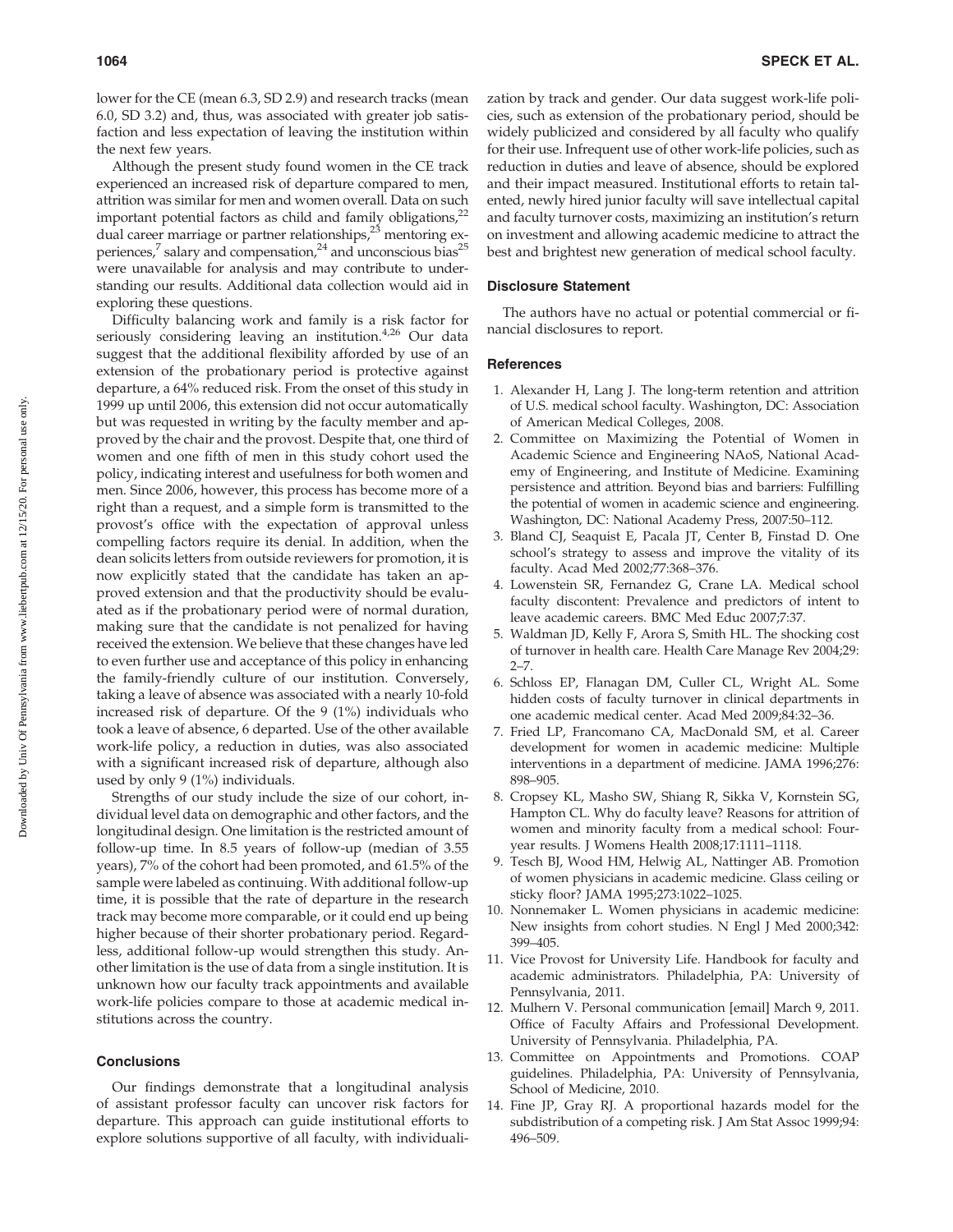lower for the CE (mean 6.3, SD 2.9) and research tracks (mean 6.0, SD 3.2) and, thus, was associated with greater job satisfaction and less expectation of leaving the institution within the next few years.

Although the present study found women in the CE track experienced an increased risk of departure compared to men, attrition was similar for men and women overall. Data on such important potential factors as child and family obligations, $2^2$ dual career marriage or partner relationships,<sup>23</sup> mentoring experiences, $^7$  salary and compensation, $^{24}$  and unconscious bias $^{25}$ were unavailable for analysis and may contribute to understanding our results. Additional data collection would aid in exploring these questions.

Difficulty balancing work and family is a risk factor for seriously considering leaving an institution.<sup>4,26</sup> Our data suggest that the additional flexibility afforded by use of an extension of the probationary period is protective against departure, a 64% reduced risk. From the onset of this study in 1999 up until 2006, this extension did not occur automatically but was requested in writing by the faculty member and approved by the chair and the provost. Despite that, one third of women and one fifth of men in this study cohort used the policy, indicating interest and usefulness for both women and men. Since 2006, however, this process has become more of a right than a request, and a simple form is transmitted to the provost's office with the expectation of approval unless compelling factors require its denial. In addition, when the dean solicits letters from outside reviewers for promotion, it is now explicitly stated that the candidate has taken an approved extension and that the productivity should be evaluated as if the probationary period were of normal duration, making sure that the candidate is not penalized for having received the extension. We believe that these changes have led to even further use and acceptance of this policy in enhancing the family-friendly culture of our institution. Conversely, taking a leave of absence was associated with a nearly 10-fold increased risk of departure. Of the 9 (1%) individuals who took a leave of absence, 6 departed. Use of the other available work-life policy, a reduction in duties, was also associated with a significant increased risk of departure, although also used by only 9 (1%) individuals.

Strengths of our study include the size of our cohort, individual level data on demographic and other factors, and the longitudinal design. One limitation is the restricted amount of follow-up time. In 8.5 years of follow-up (median of 3.55 years), 7% of the cohort had been promoted, and 61.5% of the sample were labeled as continuing. With additional follow-up time, it is possible that the rate of departure in the research track may become more comparable, or it could end up being higher because of their shorter probationary period. Regardless, additional follow-up would strengthen this study. Another limitation is the use of data from a single institution. It is unknown how our faculty track appointments and available work-life policies compare to those at academic medical institutions across the country.

# **Conclusions**

Our findings demonstrate that a longitudinal analysis of assistant professor faculty can uncover risk factors for departure. This approach can guide institutional efforts to explore solutions supportive of all faculty, with individualization by track and gender. Our data suggest work-life policies, such as extension of the probationary period, should be widely publicized and considered by all faculty who qualify for their use. Infrequent use of other work-life policies, such as reduction in duties and leave of absence, should be explored and their impact measured. Institutional efforts to retain talented, newly hired junior faculty will save intellectual capital and faculty turnover costs, maximizing an institution's return on investment and allowing academic medicine to attract the best and brightest new generation of medical school faculty.

### Disclosure Statement

The authors have no actual or potential commercial or financial disclosures to report.

#### **References**

- 1. Alexander H, Lang J. The long-term retention and attrition of U.S. medical school faculty. Washington, DC: Association of American Medical Colleges, 2008.
- 2. Committee on Maximizing the Potential of Women in Academic Science and Engineering NAoS, National Academy of Engineering, and Institute of Medicine. Examining persistence and attrition. Beyond bias and barriers: Fulfilling the potential of women in academic science and engineering. Washington, DC: National Academy Press, 2007:50–112.
- 3. Bland CJ, Seaquist E, Pacala JT, Center B, Finstad D. One school's strategy to assess and improve the vitality of its faculty. Acad Med 2002;77:368–376.
- 4. Lowenstein SR, Fernandez G, Crane LA. Medical school faculty discontent: Prevalence and predictors of intent to leave academic careers. BMC Med Educ 2007;7:37.
- 5. Waldman JD, Kelly F, Arora S, Smith HL. The shocking cost of turnover in health care. Health Care Manage Rev 2004;29: 2–7.
- 6. Schloss EP, Flanagan DM, Culler CL, Wright AL. Some hidden costs of faculty turnover in clinical departments in one academic medical center. Acad Med 2009;84:32–36.
- 7. Fried LP, Francomano CA, MacDonald SM, et al. Career development for women in academic medicine: Multiple interventions in a department of medicine. JAMA 1996;276: 898–905.
- 8. Cropsey KL, Masho SW, Shiang R, Sikka V, Kornstein SG, Hampton CL. Why do faculty leave? Reasons for attrition of women and minority faculty from a medical school: Fouryear results. J Womens Health 2008;17:1111–1118.
- 9. Tesch BJ, Wood HM, Helwig AL, Nattinger AB. Promotion of women physicians in academic medicine. Glass ceiling or sticky floor? JAMA 1995;273:1022–1025.
- 10. Nonnemaker L. Women physicians in academic medicine: New insights from cohort studies. N Engl J Med 2000;342: 399–405.
- 11. Vice Provost for University Life. Handbook for faculty and academic administrators. Philadelphia, PA: University of Pennsylvania, 2011.
- 12. Mulhern V. Personal communication [email] March 9, 2011. Office of Faculty Affairs and Professional Development. University of Pennsylvania. Philadelphia, PA.
- 13. Committee on Appointments and Promotions. COAP guidelines. Philadelphia, PA: University of Pennsylvania, School of Medicine, 2010.
- 14. Fine JP, Gray RJ. A proportional hazards model for the subdistribution of a competing risk. J Am Stat Assoc 1999;94: 496–509.